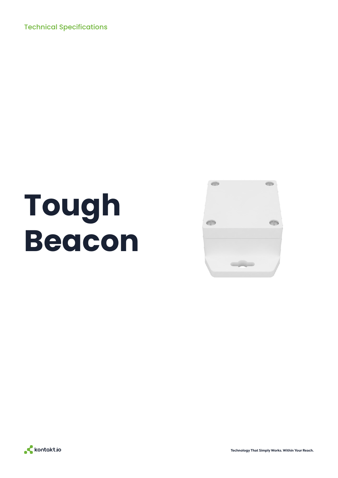Technical Specifications

# **Tough Beacon**





**Technology That Simply Works. Within Your Reach.**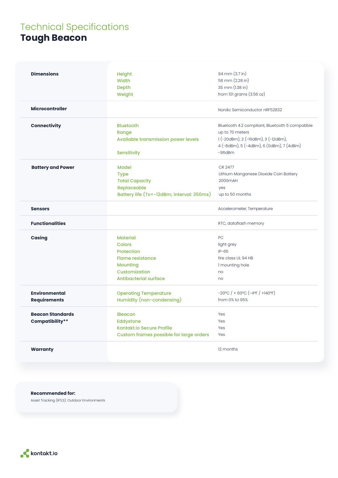### Technical Specifications **Tough Beacon**

| <b>Dimensions</b>        | <b>Height</b>                              | 94 mm (3.7 in)                                  |
|--------------------------|--------------------------------------------|-------------------------------------------------|
|                          | <b>Width</b>                               | 58 mm (2.28 in)                                 |
|                          | Depth                                      | 35 mm (1.38 in)                                 |
|                          | Weight                                     | from 101 grams (3.56 oz)                        |
| <b>Microcontroller</b>   |                                            | Nordic Semiconductor nRF52832                   |
| <b>Connectivity</b>      | <b>Bluetooth</b>                           | Bluetooth 4.2 compliant, Bluetooth 5 compatible |
|                          | Range                                      | up to 70 meters                                 |
|                          | <b>Available transmission power levels</b> | 1 (-20dBm), 2 (-16dBm), 3 (-12dBm),             |
|                          |                                            | 4 (-8dBm), 5 (-4dBm), 6 (0dBm), 7 (4dBm)        |
|                          | Sensitivity                                | $-96$ d $Bm$                                    |
| <b>Battery and Power</b> | <b>Model</b>                               | CR 2477                                         |
|                          | <b>Type</b>                                | Lithium Manganese Dioxide Coin Battery          |
|                          | <b>Total Capacity</b>                      | 2000mAH                                         |
|                          | Replaceable                                | yes                                             |
|                          | Battery life (Tx=-12dBm; interval: 350ms)  | up to 50 months                                 |
|                          |                                            |                                                 |
| <b>Sensors</b>           |                                            | Accelerometer, Temperature                      |
| <b>Functionalities</b>   |                                            | RTC, dataflash memory                           |
| <b>Casing</b>            | <b>Material</b>                            | PC                                              |
|                          | Colors                                     | light grey                                      |
|                          | Protection                                 | $IP-65$                                         |
|                          | <b>Flame resistance</b>                    | fire class UL 94 HB                             |
|                          | <b>Mounting</b>                            | I mounting hole                                 |
|                          | Customization                              | no                                              |
|                          | Antibacterial surface                      | no                                              |
| <b>Environmental</b>     | <b>Operating Temperature</b>               | $-20^{\circ}C$ / + 60°C (-4°F / +140°F)         |
| <b>Requirements</b>      | Humidity (non-condensing)                  | from 0% to 95%                                  |
| <b>Beacon Standards</b>  | iBeacon                                    | Yes                                             |
| <b>Compatibility**</b>   | Eddystone                                  | Yes                                             |
|                          | <b>Kontakt.io Secure Profile</b>           | Yes                                             |
|                          | Custom frames possible for large orders    | Yes                                             |
|                          |                                            |                                                 |
| <b>Warranty</b>          |                                            | 12 months                                       |
|                          |                                            |                                                 |

#### **Recommended for:**

Asset Tracking (RTLS): Outdoor Environments